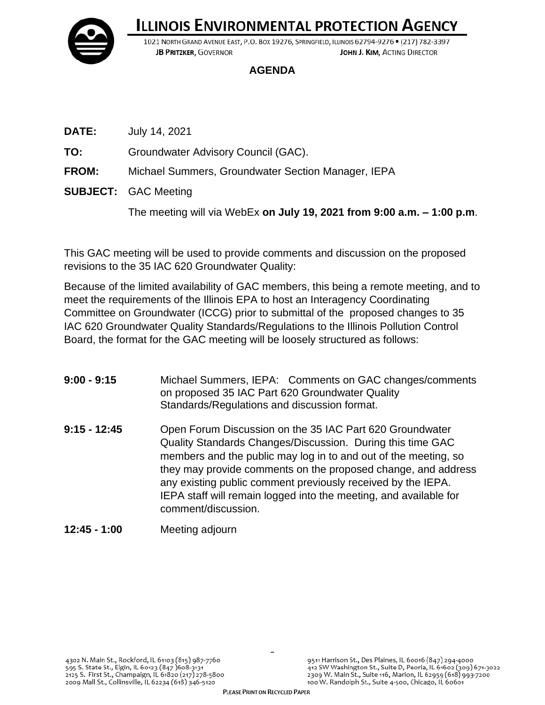

## **ILLINOIS ENVIRONMENTAL PROTECTION AGENCY**

1021 NORTH GRAND AVENUE EAST, P.O. BOX 19276, SPRINGFIELD, ILLINOIS 62794-9276 • (217) 782-3397 JOHN J. KIM. ACTING DIRECTOR **JB PRITZKER, GOVERNOR** 

## **AGENDA**

- **DATE:** July 14, 2021
- **TO:** Groundwater Advisory Council (GAC).
- **FROM:** Michael Summers, Groundwater Section Manager, IEPA
- **SUBJECT:** GAC Meeting

The meeting will via WebEx **on July 19, 2021 from 9:00 a.m. – 1:00 p.m**.

This GAC meeting will be used to provide comments and discussion on the proposed revisions to the 35 IAC 620 Groundwater Quality:

Because of the limited availability of GAC members, this being a remote meeting, and to meet the requirements of the Illinois EPA to host an Interagency Coordinating Committee on Groundwater (ICCG) prior to submittal of the proposed changes to 35 IAC 620 Groundwater Quality Standards/Regulations to the Illinois Pollution Control Board, the format for the GAC meeting will be loosely structured as follows:

- **9:00 - 9:15** Michael Summers, IEPA: Comments on GAC changes/comments on proposed 35 IAC Part 620 Groundwater Quality Standards/Regulations and discussion format.
- **9:15 - 12:45** Open Forum Discussion on the 35 IAC Part 620 Groundwater Quality Standards Changes/Discussion. During this time GAC members and the public may log in to and out of the meeting, so they may provide comments on the proposed change, and address any existing public comment previously received by the IEPA. IEPA staff will remain logged into the meeting, and available for comment/discussion.
- **12:45 - 1:00** Meeting adjourn

 $\tilde{a}$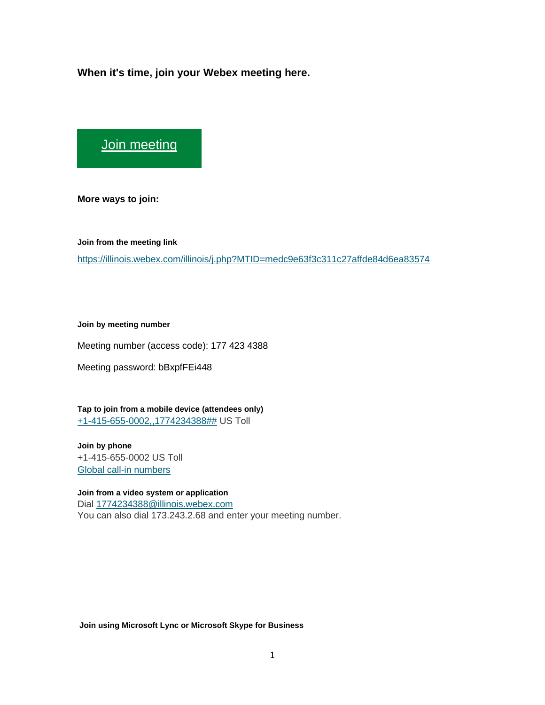**When it's time, join your Webex meeting here.** 

[Join meeting](https://illinois.webex.com/illinois/j.php?MTID=medc9e63f3c311c27affde84d6ea83574)

**More ways to join:** 

**Join from the meeting link**  <https://illinois.webex.com/illinois/j.php?MTID=medc9e63f3c311c27affde84d6ea83574>

**Join by meeting number** 

Meeting number (access code): 177 423 4388

Meeting password: bBxpfFEi448

**Tap to join from a mobile device (attendees only)** [+1-415-655-0002,,1774234388##](tel:%2B1-415-655-0002,,*01*1774234388%23%23*01*) US Toll

**Join by phone** +1-415-655-0002 US Toll [Global call-in numbers](https://illinois.webex.com/illinois/globalcallin.php?MTID=m43c2d93bf15a231d071ee3affae7ecd8)

**Join from a video system or application** Dial [1774234388@illinois.webex.com](sip:1774234388@illinois.webex.com) You can also dial 173.243.2.68 and enter your meeting number.

**Join using Microsoft Lync or Microsoft Skype for Business**